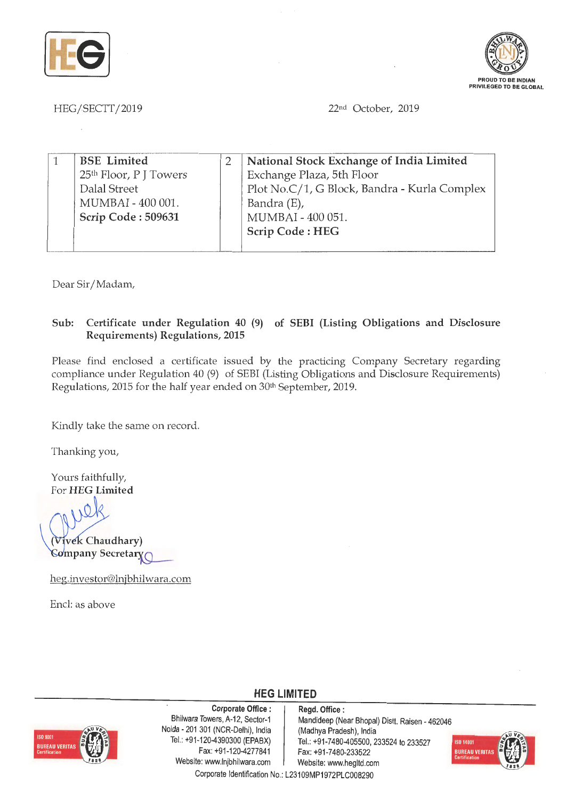



HEG /SECTT / 2019

22<sup>nd</sup> October, 2019

| <b>BSE</b> Limited                 | National Stock Exchange of India Limited     |
|------------------------------------|----------------------------------------------|
| 25 <sup>th</sup> Floor, P J Towers | Exchange Plaza, 5th Floor                    |
| Dalal Street                       | Plot No.C/1, G Block, Bandra - Kurla Complex |
| MUMBAI - 400 001.                  | Bandra (E),                                  |
| Scrip Code: 509631                 | MUMBAI - 400 051.                            |
|                                    | Scrip Code: HEG                              |
|                                    |                                              |

Dear Sir/ Madam,

## **Sub: Certificate under Regulation 40 (9) of SEBI (Listing Obligations and Disclosure Requirements) Regulations, 2015**

Please find enclosed a certificate issued by the practicing Company Secretary regarding compliance under Regulation 40 (9) of SEBI (Listing Obligations and Disclosure Requirements) Regulations, 2015 for the half year ended on 30th September, 2019.

Kindly take the same on record.

Thanking you,

Yours faithfully, For **HEG Limited** 

**.v Chaudhary)**  *Company Secretary* 

heg.investor@lnjbhilwara.com

Encl: as above



Corporate Office : | Regd. Office : Noida • 201 301 (NCR-Delhi), India (Madhya Pradesh), India Fax: +91-120-4277841 Fax: +91 -7480-233522 Website: www.lnjbhilwara.com | Website: www.hegltd.com

Bhilwara Towers, A-12, Sector-1 Mandideep (Near Bhopal) Distt. Raisen - 462046 Tel.: +91-120-4390300 (EPABX) Tel.: +91-7480-405500, 233524 to 233527



Corporate Identification No.: L23109MP1972PLC008290

**HEG LIMITED**